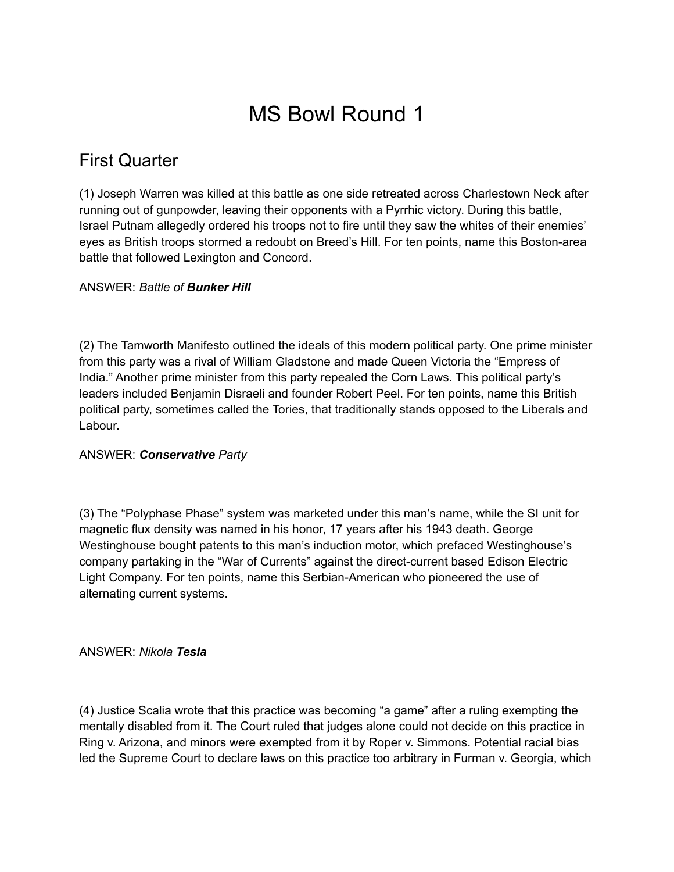# MS Bowl Round 1

# First Quarter

(1) Joseph Warren was killed at this battle as one side retreated across Charlestown Neck after running out of gunpowder, leaving their opponents with a Pyrrhic victory. During this battle, Israel Putnam allegedly ordered his troops not to fire until they saw the whites of their enemies' eyes as British troops stormed a redoubt on Breed's Hill. For ten points, name this Boston-area battle that followed Lexington and Concord.

# ANSWER: *Battle of Bunker Hill*

(2) The Tamworth Manifesto outlined the ideals of this modern political party. One prime minister from this party was a rival of William Gladstone and made Queen Victoria the "Empress of India." Another prime minister from this party repealed the Corn Laws. This political party's leaders included Benjamin Disraeli and founder Robert Peel. For ten points, name this British political party, sometimes called the Tories, that traditionally stands opposed to the Liberals and Labour.

# ANSWER: *Conservative Party*

(3) The "Polyphase Phase" system was marketed under this man's name, while the SI unit for magnetic flux density was named in his honor, 17 years after his 1943 death. George Westinghouse bought patents to this man's induction motor, which prefaced Westinghouse's company partaking in the "War of Currents" against the direct-current based Edison Electric Light Company. For ten points, name this Serbian-American who pioneered the use of alternating current systems.

#### ANSWER: *Nikola Tesla*

(4) Justice Scalia wrote that this practice was becoming "a game" after a ruling exempting the mentally disabled from it. The Court ruled that judges alone could not decide on this practice in Ring v. Arizona, and minors were exempted from it by Roper v. Simmons. Potential racial bias led the Supreme Court to declare laws on this practice too arbitrary in Furman v. Georgia, which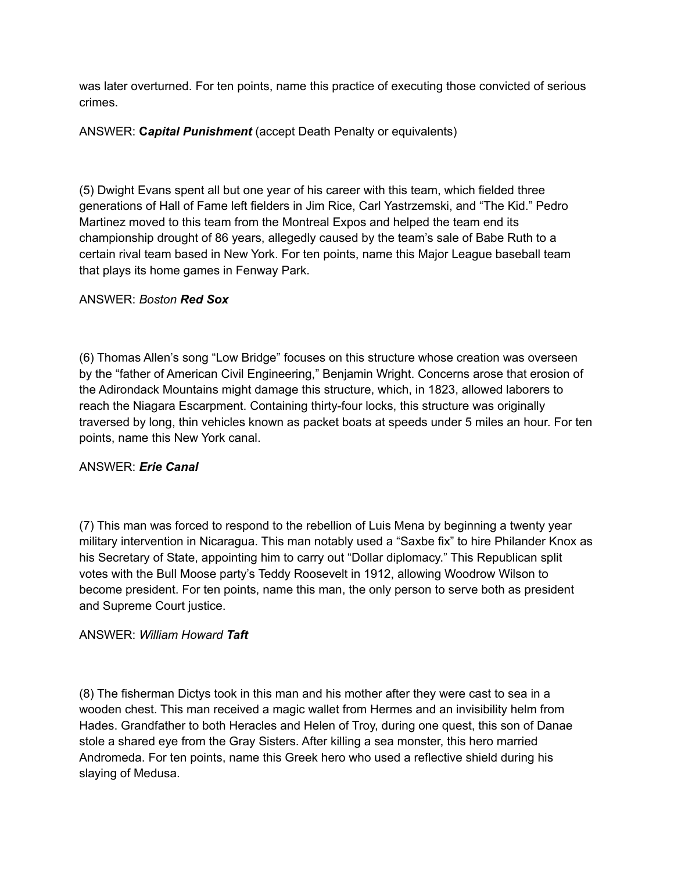was later overturned. For ten points, name this practice of executing those convicted of serious crimes.

## ANSWER: **C***apital Punishment* (accept Death Penalty or equivalents)

(5) Dwight Evans spent all but one year of his career with this team, which fielded three generations of Hall of Fame left fielders in Jim Rice, Carl Yastrzemski, and "The Kid." Pedro Martinez moved to this team from the Montreal Expos and helped the team end its championship drought of 86 years, allegedly caused by the team's sale of Babe Ruth to a certain rival team based in New York. For ten points, name this Major League baseball team that plays its home games in Fenway Park.

## ANSWER: *Boston Red Sox*

(6) Thomas Allen's song "Low Bridge" focuses on this structure whose creation was overseen by the "father of American Civil Engineering," Benjamin Wright. Concerns arose that erosion of the Adirondack Mountains might damage this structure, which, in 1823, allowed laborers to reach the Niagara Escarpment. Containing thirty-four locks, this structure was originally traversed by long, thin vehicles known as packet boats at speeds under 5 miles an hour. For ten points, name this New York canal.

# ANSWER: *Erie Canal*

(7) This man was forced to respond to the rebellion of Luis Mena by beginning a twenty year military intervention in Nicaragua. This man notably used a "Saxbe fix" to hire Philander Knox as his Secretary of State, appointing him to carry out "Dollar diplomacy." This Republican split votes with the Bull Moose party's Teddy Roosevelt in 1912, allowing Woodrow Wilson to become president. For ten points, name this man, the only person to serve both as president and Supreme Court justice.

#### ANSWER: *William Howard Taft*

(8) The fisherman Dictys took in this man and his mother after they were cast to sea in a wooden chest. This man received a magic wallet from Hermes and an invisibility helm from Hades. Grandfather to both Heracles and Helen of Troy, during one quest, this son of Danae stole a shared eye from the Gray Sisters. After killing a sea monster, this hero married Andromeda. For ten points, name this Greek hero who used a reflective shield during his slaying of Medusa.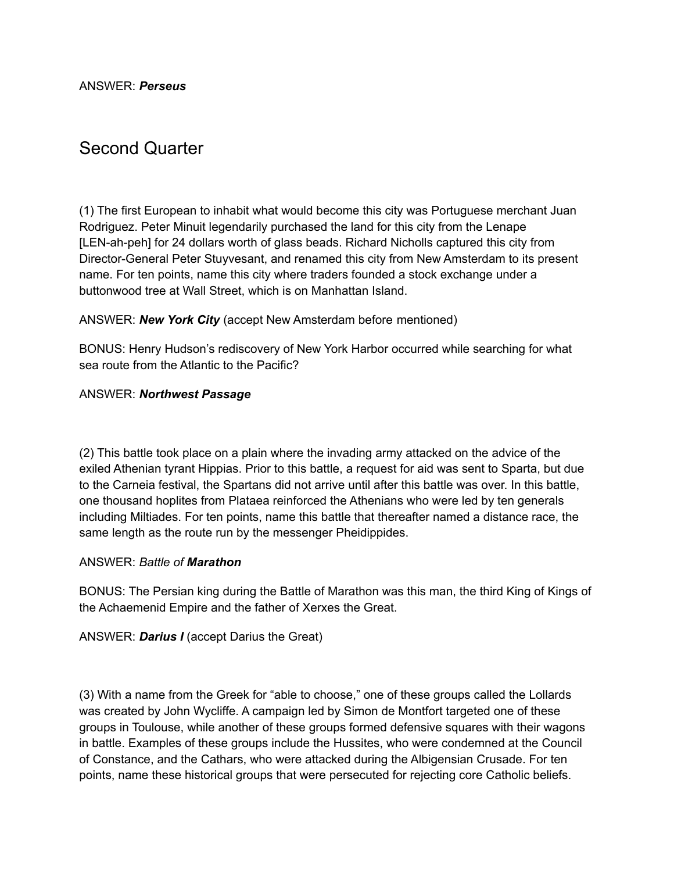ANSWER: *Perseus*

# Second Quarter

(1) The first European to inhabit what would become this city was Portuguese merchant Juan Rodriguez. Peter Minuit legendarily purchased the land for this city from the Lenape [LEN-ah-peh] for 24 dollars worth of glass beads. Richard Nicholls captured this city from Director-General Peter Stuyvesant, and renamed this city from New Amsterdam to its present name. For ten points, name this city where traders founded a stock exchange under a buttonwood tree at Wall Street, which is on Manhattan Island.

#### ANSWER: *New York City* (accept New Amsterdam before mentioned)

BONUS: Henry Hudson's rediscovery of New York Harbor occurred while searching for what sea route from the Atlantic to the Pacific?

#### ANSWER: *Northwest Passage*

(2) This battle took place on a plain where the invading army attacked on the advice of the exiled Athenian tyrant Hippias. Prior to this battle, a request for aid was sent to Sparta, but due to the Carneia festival, the Spartans did not arrive until after this battle was over. In this battle, one thousand hoplites from Plataea reinforced the Athenians who were led by ten generals including Miltiades. For ten points, name this battle that thereafter named a distance race, the same length as the route run by the messenger Pheidippides.

#### ANSWER: *Battle of Marathon*

BONUS: The Persian king during the Battle of Marathon was this man, the third King of Kings of the Achaemenid Empire and the father of Xerxes the Great.

ANSWER: *Darius I* (accept Darius the Great)

(3) With a name from the Greek for "able to choose," one of these groups called the Lollards was created by John Wycliffe. A campaign led by Simon de Montfort targeted one of these groups in Toulouse, while another of these groups formed defensive squares with their wagons in battle. Examples of these groups include the Hussites, who were condemned at the Council of Constance, and the Cathars, who were attacked during the Albigensian Crusade. For ten points, name these historical groups that were persecuted for rejecting core Catholic beliefs.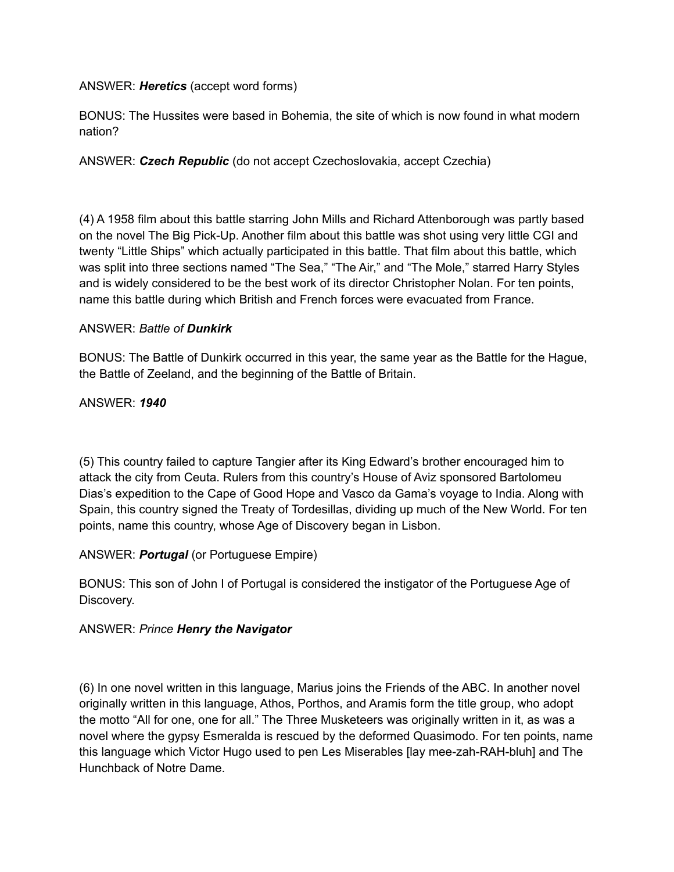## ANSWER: *Heretics* (accept word forms)

BONUS: The Hussites were based in Bohemia, the site of which is now found in what modern nation?

# ANSWER: *Czech Republic* (do not accept Czechoslovakia, accept Czechia)

(4) A 1958 film about this battle starring John Mills and Richard Attenborough was partly based on the novel The Big Pick-Up. Another film about this battle was shot using very little CGI and twenty "Little Ships" which actually participated in this battle. That film about this battle, which was split into three sections named "The Sea," "The Air," and "The Mole," starred Harry Styles and is widely considered to be the best work of its director Christopher Nolan. For ten points, name this battle during which British and French forces were evacuated from France.

## ANSWER: *Battle of Dunkirk*

BONUS: The Battle of Dunkirk occurred in this year, the same year as the Battle for the Hague, the Battle of Zeeland, and the beginning of the Battle of Britain.

ANSWER: *1940*

(5) This country failed to capture Tangier after its King Edward's brother encouraged him to attack the city from Ceuta. Rulers from this country's House of Aviz sponsored Bartolomeu Dias's expedition to the Cape of Good Hope and Vasco da Gama's voyage to India. Along with Spain, this country signed the Treaty of Tordesillas, dividing up much of the New World. For ten points, name this country, whose Age of Discovery began in Lisbon.

# ANSWER: *Portugal* (or Portuguese Empire)

BONUS: This son of John I of Portugal is considered the instigator of the Portuguese Age of Discovery.

# ANSWER: *Prince Henry the Navigator*

(6) In one novel written in this language, Marius joins the Friends of the ABC. In another novel originally written in this language, Athos, Porthos, and Aramis form the title group, who adopt the motto "All for one, one for all." The Three Musketeers was originally written in it, as was a novel where the gypsy Esmeralda is rescued by the deformed Quasimodo. For ten points, name this language which Victor Hugo used to pen Les Miserables [lay mee-zah-RAH-bluh] and The Hunchback of Notre Dame.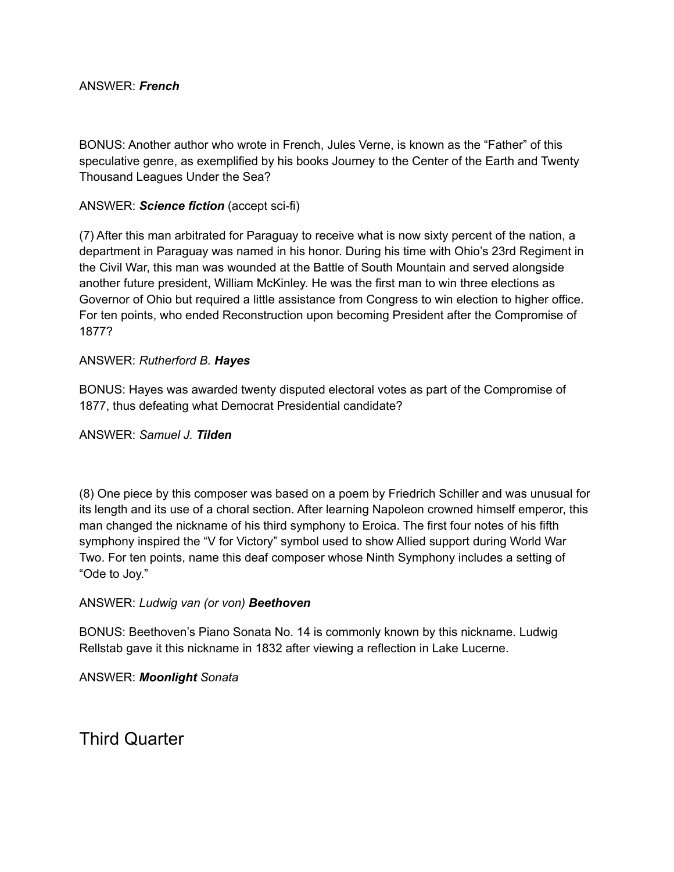#### ANSWER: *French*

BONUS: Another author who wrote in French, Jules Verne, is known as the "Father" of this speculative genre, as exemplified by his books Journey to the Center of the Earth and Twenty Thousand Leagues Under the Sea?

#### ANSWER: *Science fiction* (accept sci-fi)

(7) After this man arbitrated for Paraguay to receive what is now sixty percent of the nation, a department in Paraguay was named in his honor. During his time with Ohio's 23rd Regiment in the Civil War, this man was wounded at the Battle of South Mountain and served alongside another future president, William McKinley. He was the first man to win three elections as Governor of Ohio but required a little assistance from Congress to win election to higher office. For ten points, who ended Reconstruction upon becoming President after the Compromise of 1877?

#### ANSWER: *Rutherford B. Hayes*

BONUS: Hayes was awarded twenty disputed electoral votes as part of the Compromise of 1877, thus defeating what Democrat Presidential candidate?

#### ANSWER: *Samuel J. Tilden*

(8) One piece by this composer was based on a poem by Friedrich Schiller and was unusual for its length and its use of a choral section. After learning Napoleon crowned himself emperor, this man changed the nickname of his third symphony to Eroica. The first four notes of his fifth symphony inspired the "V for Victory" symbol used to show Allied support during World War Two. For ten points, name this deaf composer whose Ninth Symphony includes a setting of "Ode to Joy."

#### ANSWER: *Ludwig van (or von) Beethoven*

BONUS: Beethoven's Piano Sonata No. 14 is commonly known by this nickname. Ludwig Rellstab gave it this nickname in 1832 after viewing a reflection in Lake Lucerne.

ANSWER: *Moonlight Sonata*

Third Quarter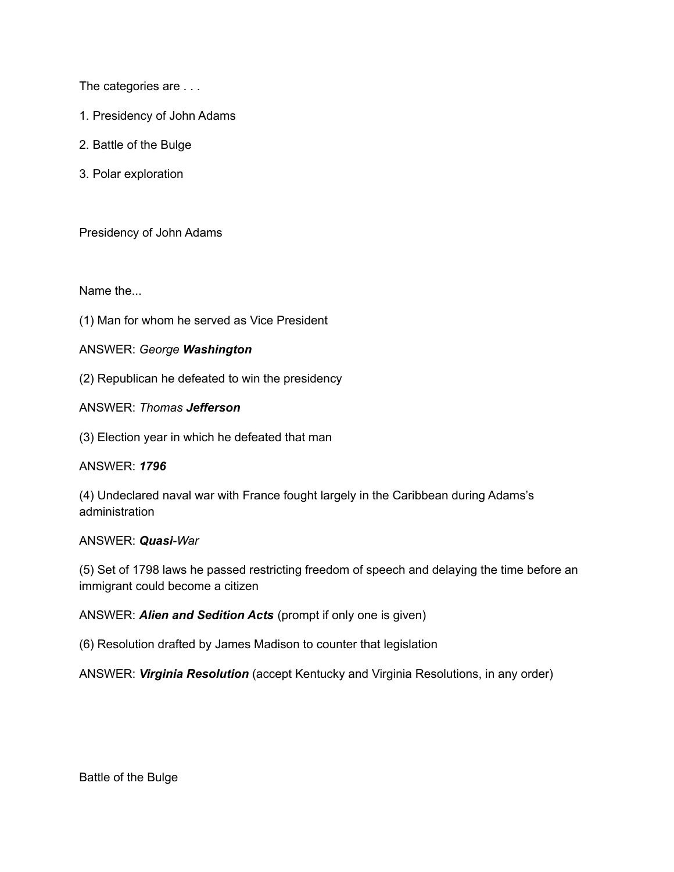The categories are . . .

- 1. Presidency of John Adams
- 2. Battle of the Bulge
- 3. Polar exploration

Presidency of John Adams

Name the...

(1) Man for whom he served as Vice President

#### ANSWER: *George Washington*

(2) Republican he defeated to win the presidency

ANSWER: *Thomas Jefferson*

(3) Election year in which he defeated that man

#### ANSWER: *1796*

(4) Undeclared naval war with France fought largely in the Caribbean during Adams's administration

#### ANSWER: *Quasi-War*

(5) Set of 1798 laws he passed restricting freedom of speech and delaying the time before an immigrant could become a citizen

ANSWER: *Alien and Sedition Acts* (prompt if only one is given)

(6) Resolution drafted by James Madison to counter that legislation

ANSWER: *Virginia Resolution* (accept Kentucky and Virginia Resolutions, in any order)

Battle of the Bulge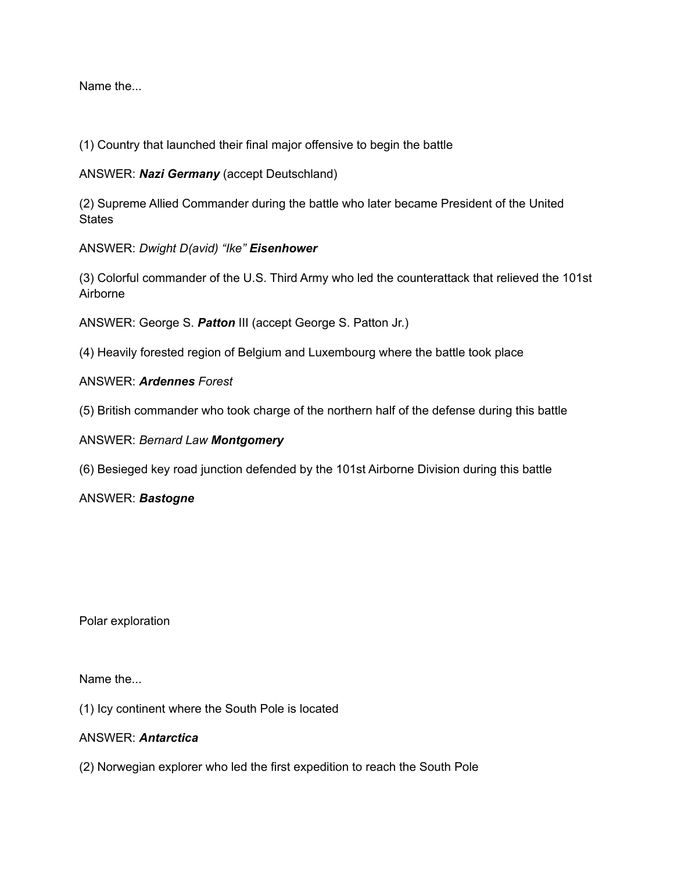Name the...

(1) Country that launched their final major offensive to begin the battle

ANSWER: *Nazi Germany* (accept Deutschland)

(2) Supreme Allied Commander during the battle who later became President of the United **States** 

ANSWER: *Dwight D(avid) "Ike" Eisenhower*

(3) Colorful commander of the U.S. Third Army who led the counterattack that relieved the 101st Airborne

ANSWER: George S. *Patton* III (accept George S. Patton Jr.)

(4) Heavily forested region of Belgium and Luxembourg where the battle took place

## ANSWER: *Ardennes Forest*

(5) British commander who took charge of the northern half of the defense during this battle

ANSWER: *Bernard Law Montgomery*

(6) Besieged key road junction defended by the 101st Airborne Division during this battle

ANSWER: *Bastogne*

Polar exploration

Name the...

(1) Icy continent where the South Pole is located

#### ANSWER: *Antarctica*

(2) Norwegian explorer who led the first expedition to reach the South Pole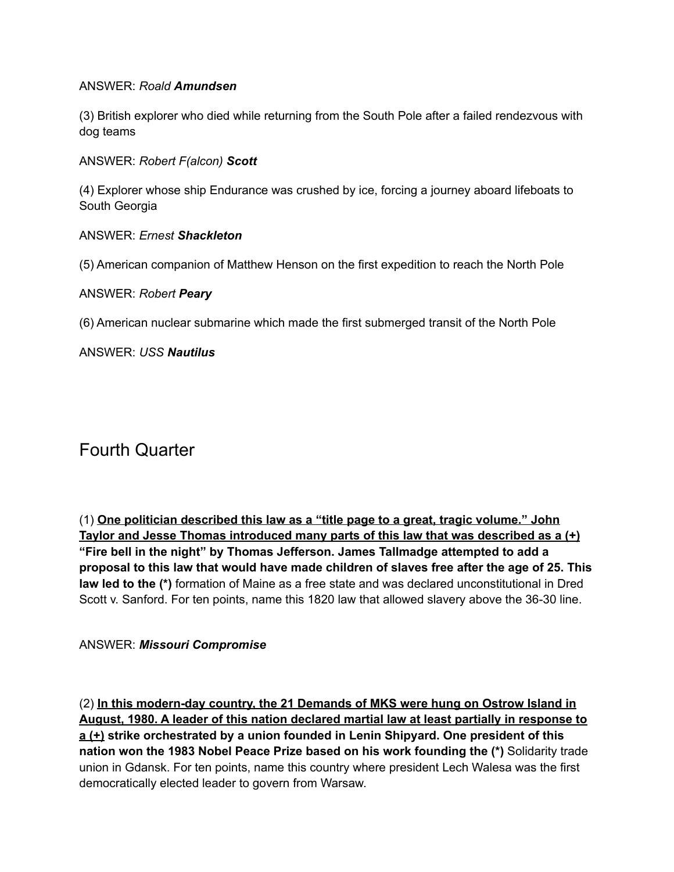#### ANSWER: *Roald Amundsen*

(3) British explorer who died while returning from the South Pole after a failed rendezvous with dog teams

ANSWER: *Robert F(alcon) Scott*

(4) Explorer whose ship Endurance was crushed by ice, forcing a journey aboard lifeboats to South Georgia

#### ANSWER: *Ernest Shackleton*

(5) American companion of Matthew Henson on the first expedition to reach the North Pole

#### ANSWER: *Robert Peary*

(6) American nuclear submarine which made the first submerged transit of the North Pole

ANSWER: *USS Nautilus*

# Fourth Quarter

(1) **One politician described this law as a "title page to a great, tragic volume." John Taylor and Jesse Thomas introduced many parts of this law that was described as a (+) "Fire bell in the night" by Thomas Jefferson. James Tallmadge attempted to add a proposal to this law that would have made children of slaves free after the age of 25. This law led to the (\*)** formation of Maine as a free state and was declared unconstitutional in Dred Scott v. Sanford. For ten points, name this 1820 law that allowed slavery above the 36-30 line.

# ANSWER: *Missouri Compromise*

(2) **In this modern-day country, the 21 Demands of MKS were hung on Ostrow Island in August, 1980. A leader of this nation declared martial law at least partially in response to a (+) strike orchestrated by a union founded in Lenin Shipyard. One president of this nation won the 1983 Nobel Peace Prize based on his work founding the (\*)** Solidarity trade union in Gdansk. For ten points, name this country where president Lech Walesa was the first democratically elected leader to govern from Warsaw.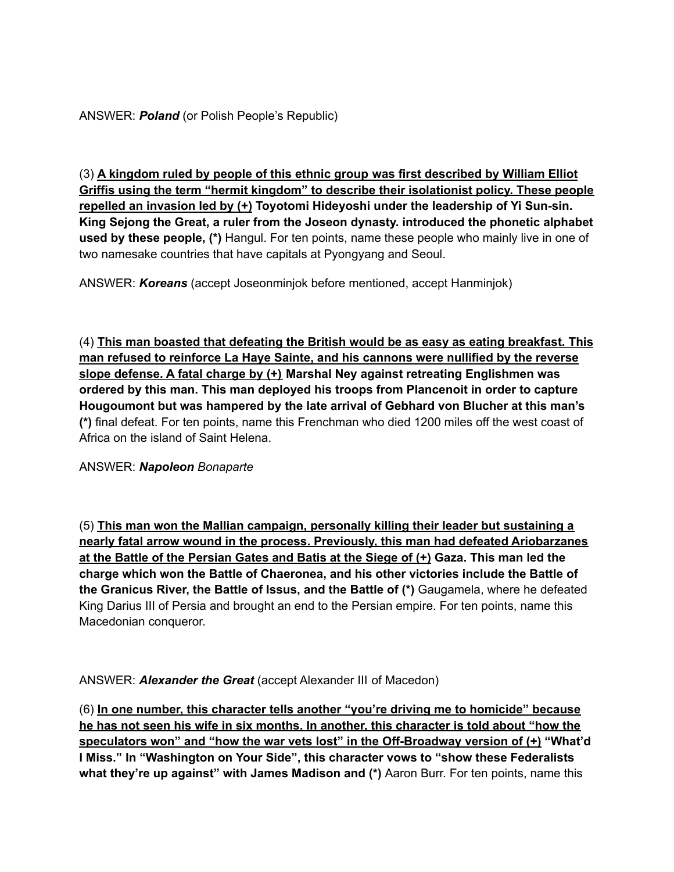(3) **A kingdom ruled by people of this ethnic group was first described by William Elliot Griffis using the term "hermit kingdom" to describe their isolationist policy. These people repelled an invasion led by (+) Toyotomi Hideyoshi under the leadership of Yi Sun-sin. King Sejong the Great, a ruler from the Joseon dynasty. introduced the phonetic alphabet used by these people, (\*)** Hangul. For ten points, name these people who mainly live in one of two namesake countries that have capitals at Pyongyang and Seoul.

ANSWER: *Koreans* (accept Joseonminjok before mentioned, accept Hanminjok)

(4) **This man boasted that defeating the British would be as easy as eating breakfast. This man refused to reinforce La Haye Sainte, and his cannons were nullified by the reverse slope defense. A fatal charge by (+) Marshal Ney against retreating Englishmen was ordered by this man. This man deployed his troops from Plancenoit in order to capture Hougoumont but was hampered by the late arrival of Gebhard von Blucher at this man's (\*)** final defeat. For ten points, name this Frenchman who died 1200 miles off the west coast of Africa on the island of Saint Helena.

ANSWER: *Napoleon Bonaparte*

(5) **This man won the Mallian campaign, personally killing their leader but sustaining a nearly fatal arrow wound in the process. Previously, this man had defeated Ariobarzanes at the Battle of the Persian Gates and Batis at the Siege of (+) Gaza. This man led the charge which won the Battle of Chaeronea, and his other victories include the Battle of the Granicus River, the Battle of Issus, and the Battle of (\*)** Gaugamela, where he defeated King Darius III of Persia and brought an end to the Persian empire. For ten points, name this Macedonian conqueror.

ANSWER: *Alexander the Great* (accept Alexander III of Macedon)

(6) **In one number, this character tells another "you're driving me to homicide" because he has not seen his wife in six months. In another, this character is told about "how the speculators won" and "how the war vets lost" in the Off-Broadway version of (+) "What'd I Miss." In "Washington on Your Side", this character vows to "show these Federalists what they're up against" with James Madison and (\*)** Aaron Burr. For ten points, name this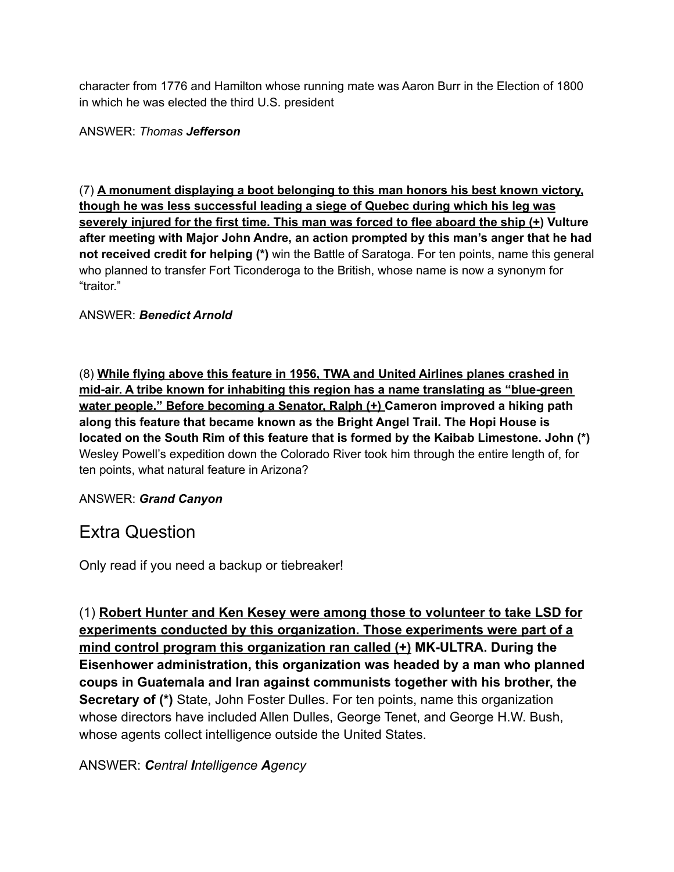character from 1776 and Hamilton whose running mate was Aaron Burr in the Election of 1800 in which he was elected the third U.S. president

ANSWER: *Thomas Jefferson*

(7) **A monument displaying a boot belonging to this man honors his best known victory, though he was less successful leading a siege of Quebec during which his leg was severely injured for the first time. This man was forced to flee aboard the ship (+) Vulture after meeting with Major John Andre, an action prompted by this man's anger that he had not received credit for helping (\*)** win the Battle of Saratoga. For ten points, name this general who planned to transfer Fort Ticonderoga to the British, whose name is now a synonym for "traitor."

ANSWER: *Benedict Arnold*

(8) **While flying above this feature in 1956, TWA and United Airlines planes crashed in mid-air. A tribe known for inhabiting this region has a name translating as "blue-green water people." Before becoming a Senator, Ralph (+) Cameron improved a hiking path along this feature that became known as the Bright Angel Trail. The Hopi House is located on the South Rim of this feature that is formed by the Kaibab Limestone. John (\*)** Wesley Powell's expedition down the Colorado River took him through the entire length of, for ten points, what natural feature in Arizona?

# ANSWER: *Grand Canyon*

# Extra Question

Only read if you need a backup or tiebreaker!

(1) **Robert Hunter and Ken Kesey were among those to volunteer to take LSD for experiments conducted by this organization. Those experiments were part of a mind control program this organization ran called (+) MK-ULTRA. During the Eisenhower administration, this organization was headed by a man who planned coups in Guatemala and Iran against communists together with his brother, the Secretary of (\*)** State, John Foster Dulles. For ten points, name this organization whose directors have included Allen Dulles, George Tenet, and George H.W. Bush, whose agents collect intelligence outside the United States.

# ANSWER: *Central Intelligence Agency*